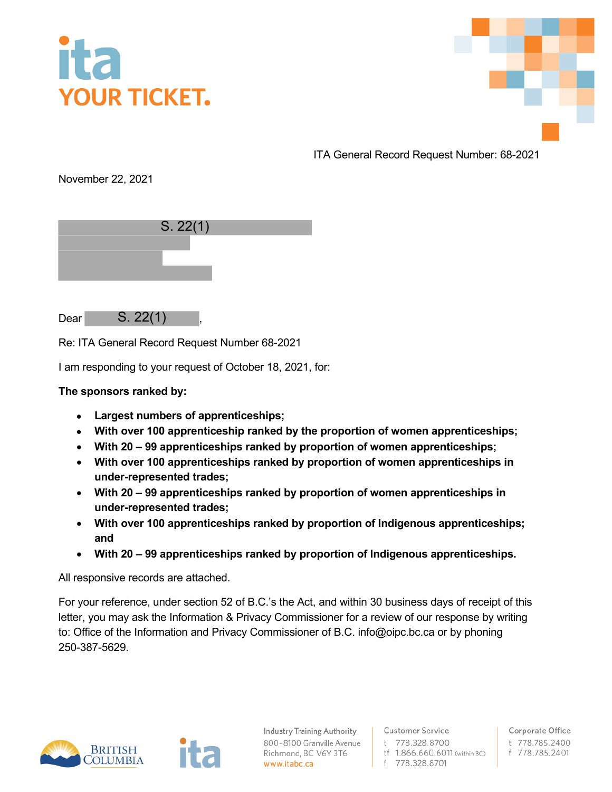



ITA General Record Request Number: 68-2021

November 22, 2021

| S. 22(1) |
|----------|
|          |
|          |
|          |

Dear S. 22(1),

Re: ITA General Record Request Number 68-2021

I am responding to your request of October 18, 2021, for:

## **The sponsors ranked by:**

- **Largest numbers of apprenticeships;**
- **With over 100 apprenticeship ranked by the proportion of women apprenticeships;**
- **With 20 99 apprenticeships ranked by proportion of women apprenticeships;**
- **With over 100 apprenticeships ranked by proportion of women apprenticeships in under-represented trades;**
- **With 20 99 apprenticeships ranked by proportion of women apprenticeships in under-represented trades;**
- **With over 100 apprenticeships ranked by proportion of Indigenous apprenticeships; and**
- **With 20 99 apprenticeships ranked by proportion of Indigenous apprenticeships.**

All responsive records are attached.

For your reference, under section 52 of B.C.'s the Act, and within 30 business days of receipt of this letter, you may ask the Information & Privacy Commissioner for a review of our response by writing to: Office of the Information and Privacy Commissioner of B.C. info@oipc.bc.ca or by phoning 250-387-5629.



**Industry Training Authority** 800-8100 Granville Avenue Richmond, BC V6Y 3T6 www.itabc.ca

**Customer Service** t 778.328.8700 tf 1.866.660.6011 (within BC) f 778.328.8701

Corporate Office t 778.785.2400 f 778.785.2401